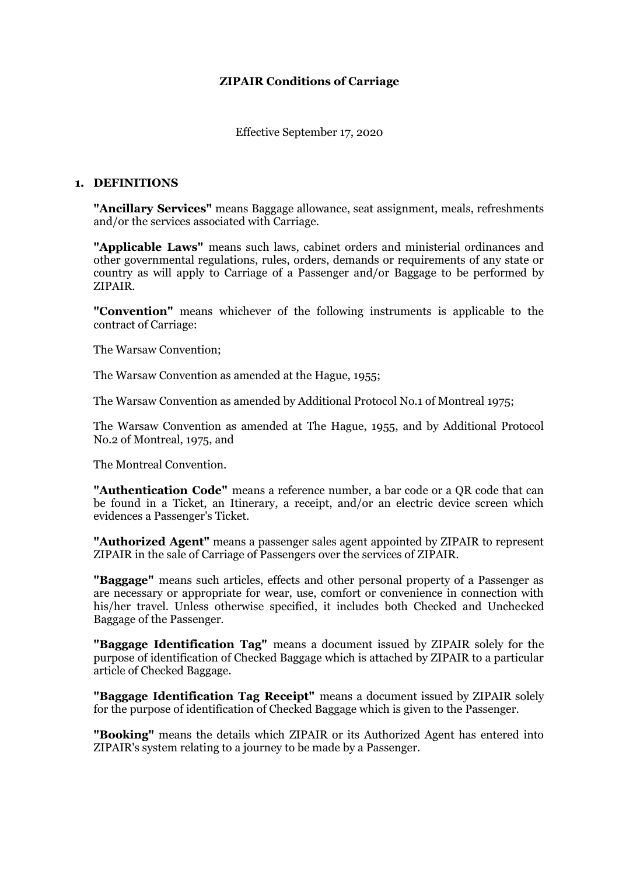# **ZIPAIR Conditions of Carriage**

Effective September 17, 2020

#### **1. DEFINITIONS**

**"Ancillary Services"** means Baggage allowance, seat assignment, meals, refreshments and/or the services associated with Carriage.

**"Applicable Laws"** means such laws, cabinet orders and ministerial ordinances and other governmental regulations, rules, orders, demands or requirements of any state or country as will apply to Carriage of a Passenger and/or Baggage to be performed by ZIPAIR.

**"Convention"** means whichever of the following instruments is applicable to the contract of Carriage:

The Warsaw Convention;

The Warsaw Convention as amended at the Hague, 1955;

The Warsaw Convention as amended by Additional Protocol No.1 of Montreal 1975;

The Warsaw Convention as amended at The Hague, 1955, and by Additional Protocol No.2 of Montreal, 1975, and

The Montreal Convention.

**"Authentication Code"** means a reference number, a bar code or a QR code that can be found in a Ticket, an Itinerary, a receipt, and/or an electric device screen which evidences a Passenger's Ticket.

**"Authorized Agent"** means a passenger sales agent appointed by ZIPAIR to represent ZIPAIR in the sale of Carriage of Passengers over the services of ZIPAIR.

**"Baggage"** means such articles, effects and other personal property of a Passenger as are necessary or appropriate for wear, use, comfort or convenience in connection with his/her travel. Unless otherwise specified, it includes both Checked and Unchecked Baggage of the Passenger.

**"Baggage Identification Tag"** means a document issued by ZIPAIR solely for the purpose of identification of Checked Baggage which is attached by ZIPAIR to a particular article of Checked Baggage.

**"Baggage Identification Tag Receipt"** means a document issued by ZIPAIR solely for the purpose of identification of Checked Baggage which is given to the Passenger.

**"Booking"** means the details which ZIPAIR or its Authorized Agent has entered into ZIPAIR's system relating to a journey to be made by a Passenger.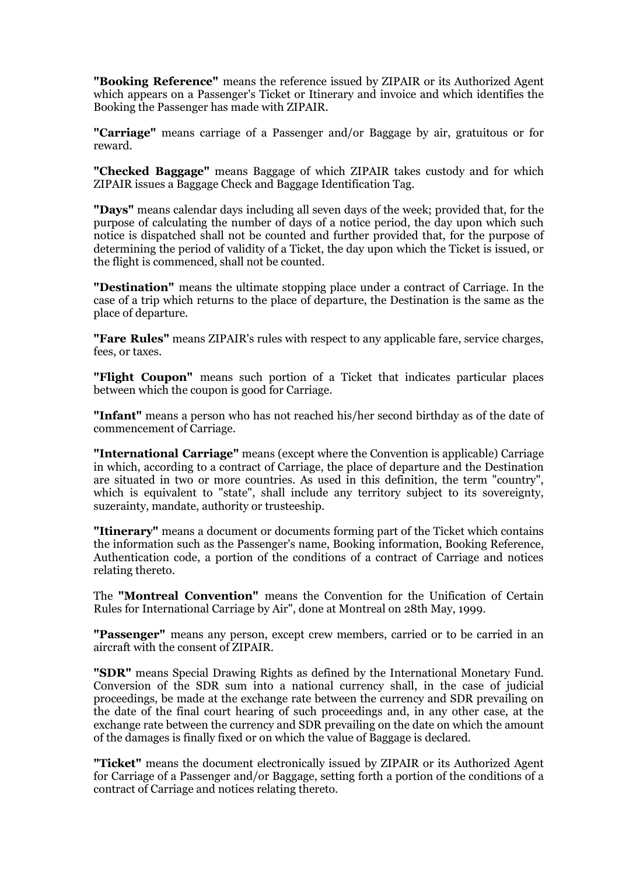**"Booking Reference"** means the reference issued by ZIPAIR or its Authorized Agent which appears on a Passenger's Ticket or Itinerary and invoice and which identifies the Booking the Passenger has made with ZIPAIR.

**"Carriage"** means carriage of a Passenger and/or Baggage by air, gratuitous or for reward.

**"Checked Baggage"** means Baggage of which ZIPAIR takes custody and for which ZIPAIR issues a Baggage Check and Baggage Identification Tag.

**"Days"** means calendar days including all seven days of the week; provided that, for the purpose of calculating the number of days of a notice period, the day upon which such notice is dispatched shall not be counted and further provided that, for the purpose of determining the period of validity of a Ticket, the day upon which the Ticket is issued, or the flight is commenced, shall not be counted.

**"Destination"** means the ultimate stopping place under a contract of Carriage. In the case of a trip which returns to the place of departure, the Destination is the same as the place of departure.

**"Fare Rules"** means ZIPAIR's rules with respect to any applicable fare, service charges, fees, or taxes.

**"Flight Coupon"** means such portion of a Ticket that indicates particular places between which the coupon is good for Carriage.

**"Infant"** means a person who has not reached his/her second birthday as of the date of commencement of Carriage.

**"International Carriage"** means (except where the Convention is applicable) Carriage in which, according to a contract of Carriage, the place of departure and the Destination are situated in two or more countries. As used in this definition, the term "country", which is equivalent to "state", shall include any territory subject to its sovereignty, suzerainty, mandate, authority or trusteeship.

**"Itinerary"** means a document or documents forming part of the Ticket which contains the information such as the Passenger's name, Booking information, Booking Reference, Authentication code, a portion of the conditions of a contract of Carriage and notices relating thereto.

The **"Montreal Convention"** means the Convention for the Unification of Certain Rules for International Carriage by Air", done at Montreal on 28th May, 1999.

**"Passenger"** means any person, except crew members, carried or to be carried in an aircraft with the consent of ZIPAIR.

**"SDR"** means Special Drawing Rights as defined by the International Monetary Fund. Conversion of the SDR sum into a national currency shall, in the case of judicial proceedings, be made at the exchange rate between the currency and SDR prevailing on the date of the final court hearing of such proceedings and, in any other case, at the exchange rate between the currency and SDR prevailing on the date on which the amount of the damages is finally fixed or on which the value of Baggage is declared.

**"Ticket"** means the document electronically issued by ZIPAIR or its Authorized Agent for Carriage of a Passenger and/or Baggage, setting forth a portion of the conditions of a contract of Carriage and notices relating thereto.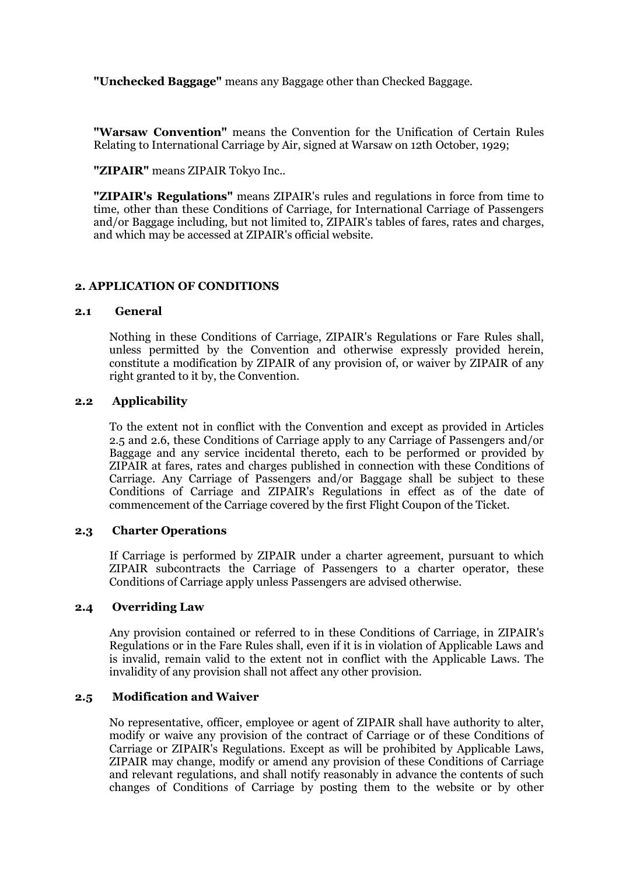**"Unchecked Baggage"** means any Baggage other than Checked Baggage.

**"Warsaw Convention"** means the Convention for the Unification of Certain Rules Relating to International Carriage by Air, signed at Warsaw on 12th October, 1929;

**"ZIPAIR"** means ZIPAIR Tokyo Inc..

**"ZIPAIR's Regulations"** means ZIPAIR's rules and regulations in force from time to time, other than these Conditions of Carriage, for International Carriage of Passengers and/or Baggage including, but not limited to, ZIPAIR's tables of fares, rates and charges, and which may be accessed at ZIPAIR's official website.

### **2. APPLICATION OF CONDITIONS**

#### **2.1 General**

 Nothing in these Conditions of Carriage, ZIPAIR's Regulations or Fare Rules shall, unless permitted by the Convention and otherwise expressly provided herein, constitute a modification by ZIPAIR of any provision of, or waiver by ZIPAIR of any right granted to it by, the Convention.

#### **2.2 Applicability**

 To the extent not in conflict with the Convention and except as provided in Articles 2.5 and 2.6, these Conditions of Carriage apply to any Carriage of Passengers and/or Baggage and any service incidental thereto, each to be performed or provided by ZIPAIR at fares, rates and charges published in connection with these Conditions of Carriage. Any Carriage of Passengers and/or Baggage shall be subject to these Conditions of Carriage and ZIPAIR's Regulations in effect as of the date of commencement of the Carriage covered by the first Flight Coupon of the Ticket.

#### **2.3 Charter Operations**

 If Carriage is performed by ZIPAIR under a charter agreement, pursuant to which ZIPAIR subcontracts the Carriage of Passengers to a charter operator, these Conditions of Carriage apply unless Passengers are advised otherwise.

#### **2.4 Overriding Law**

 Any provision contained or referred to in these Conditions of Carriage, in ZIPAIR's Regulations or in the Fare Rules shall, even if it is in violation of Applicable Laws and is invalid, remain valid to the extent not in conflict with the Applicable Laws. The invalidity of any provision shall not affect any other provision.

#### **2.5 Modification and Waiver**

 No representative, officer, employee or agent of ZIPAIR shall have authority to alter, modify or waive any provision of the contract of Carriage or of these Conditions of Carriage or ZIPAIR's Regulations. Except as will be prohibited by Applicable Laws, ZIPAIR may change, modify or amend any provision of these Conditions of Carriage and relevant regulations, and shall notify reasonably in advance the contents of such changes of Conditions of Carriage by posting them to the website or by other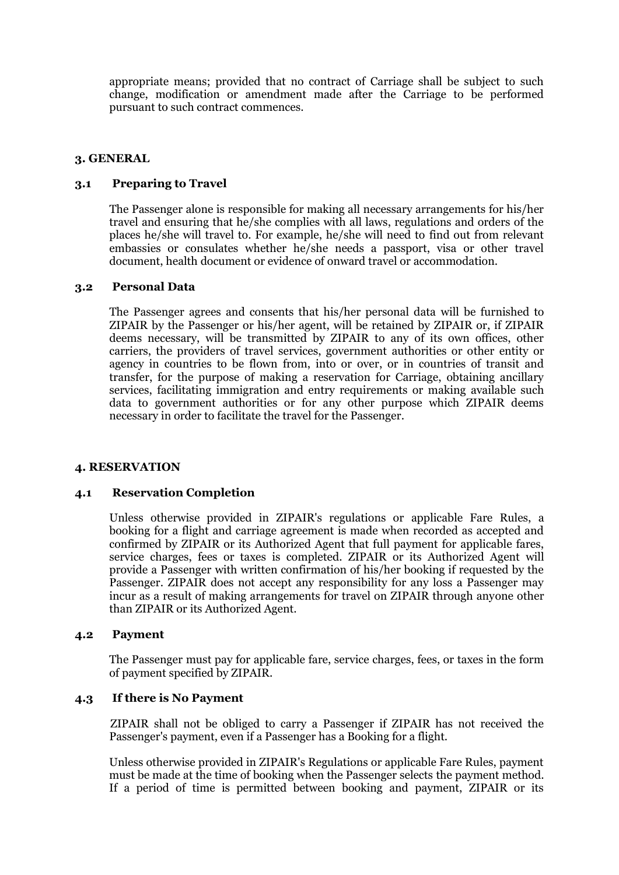appropriate means; provided that no contract of Carriage shall be subject to such change, modification or amendment made after the Carriage to be performed pursuant to such contract commences.

#### **3. GENERAL**

### **3.1 Preparing to Travel**

 The Passenger alone is responsible for making all necessary arrangements for his/her travel and ensuring that he/she complies with all laws, regulations and orders of the places he/she will travel to. For example, he/she will need to find out from relevant embassies or consulates whether he/she needs a passport, visa or other travel document, health document or evidence of onward travel or accommodation.

#### **3.2 Personal Data**

 The Passenger agrees and consents that his/her personal data will be furnished to ZIPAIR by the Passenger or his/her agent, will be retained by ZIPAIR or, if ZIPAIR deems necessary, will be transmitted by ZIPAIR to any of its own offices, other carriers, the providers of travel services, government authorities or other entity or agency in countries to be flown from, into or over, or in countries of transit and transfer, for the purpose of making a reservation for Carriage, obtaining ancillary services, facilitating immigration and entry requirements or making available such data to government authorities or for any other purpose which ZIPAIR deems necessary in order to facilitate the travel for the Passenger.

#### **4. RESERVATION**

#### **4.1 Reservation Completion**

 Unless otherwise provided in ZIPAIR's regulations or applicable Fare Rules, a booking for a flight and carriage agreement is made when recorded as accepted and confirmed by ZIPAIR or its Authorized Agent that full payment for applicable fares, service charges, fees or taxes is completed. ZIPAIR or its Authorized Agent will provide a Passenger with written confirmation of his/her booking if requested by the Passenger. ZIPAIR does not accept any responsibility for any loss a Passenger may incur as a result of making arrangements for travel on ZIPAIR through anyone other than ZIPAIR or its Authorized Agent.

#### **4.2 Payment**

 The Passenger must pay for applicable fare, service charges, fees, or taxes in the form of payment specified by ZIPAIR.

#### **4.3 If there is No Payment**

 ZIPAIR shall not be obliged to carry a Passenger if ZIPAIR has not received the Passenger's payment, even if a Passenger has a Booking for a flight.

Unless otherwise provided in ZIPAIR's Regulations or applicable Fare Rules, payment must be made at the time of booking when the Passenger selects the payment method. If a period of time is permitted between booking and payment, ZIPAIR or its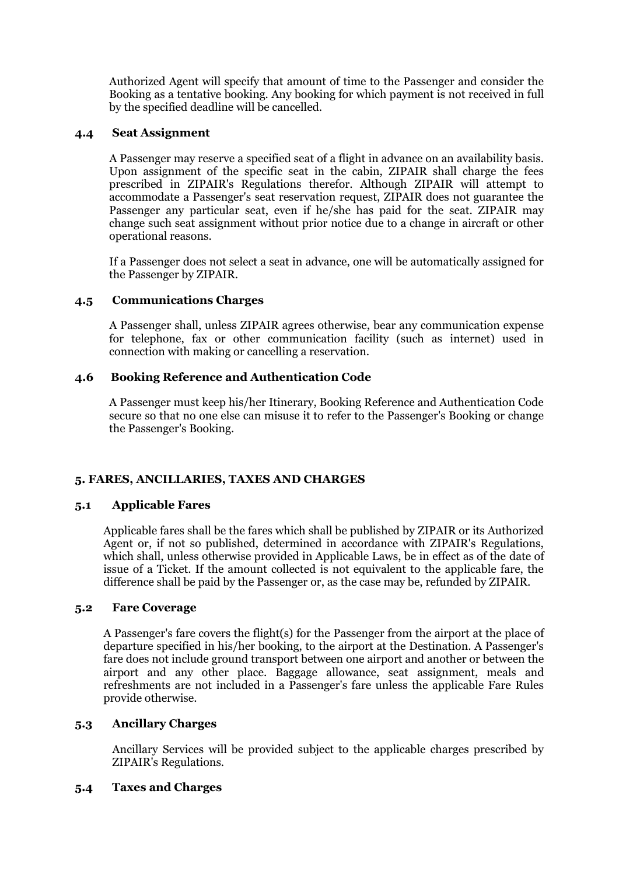Authorized Agent will specify that amount of time to the Passenger and consider the Booking as a tentative booking. Any booking for which payment is not received in full by the specified deadline will be cancelled.

### **4.4 Seat Assignment**

 A Passenger may reserve a specified seat of a flight in advance on an availability basis. Upon assignment of the specific seat in the cabin, ZIPAIR shall charge the fees prescribed in ZIPAIR's Regulations therefor. Although ZIPAIR will attempt to accommodate a Passenger's seat reservation request, ZIPAIR does not guarantee the Passenger any particular seat, even if he/she has paid for the seat. ZIPAIR may change such seat assignment without prior notice due to a change in aircraft or other operational reasons.

If a Passenger does not select a seat in advance, one will be automatically assigned for the Passenger by ZIPAIR.

# **4.5 Communications Charges**

 A Passenger shall, unless ZIPAIR agrees otherwise, bear any communication expense for telephone, fax or other communication facility (such as internet) used in connection with making or cancelling a reservation.

### **4.6 Booking Reference and Authentication Code**

 A Passenger must keep his/her Itinerary, Booking Reference and Authentication Code secure so that no one else can misuse it to refer to the Passenger's Booking or change the Passenger's Booking.

# **5. FARES, ANCILLARIES, TAXES AND CHARGES**

#### **5.1 Applicable Fares**

Applicable fares shall be the fares which shall be published by ZIPAIR or its Authorized Agent or, if not so published, determined in accordance with ZIPAIR's Regulations, which shall, unless otherwise provided in Applicable Laws, be in effect as of the date of issue of a Ticket. If the amount collected is not equivalent to the applicable fare, the difference shall be paid by the Passenger or, as the case may be, refunded by ZIPAIR.

### **5.2 Fare Coverage**

A Passenger's fare covers the flight(s) for the Passenger from the airport at the place of departure specified in his/her booking, to the airport at the Destination. A Passenger's fare does not include ground transport between one airport and another or between the airport and any other place. Baggage allowance, seat assignment, meals and refreshments are not included in a Passenger's fare unless the applicable Fare Rules provide otherwise.

### **5.3 Ancillary Charges**

Ancillary Services will be provided subject to the applicable charges prescribed by ZIPAIR's Regulations.

#### **5.4 Taxes and Charges**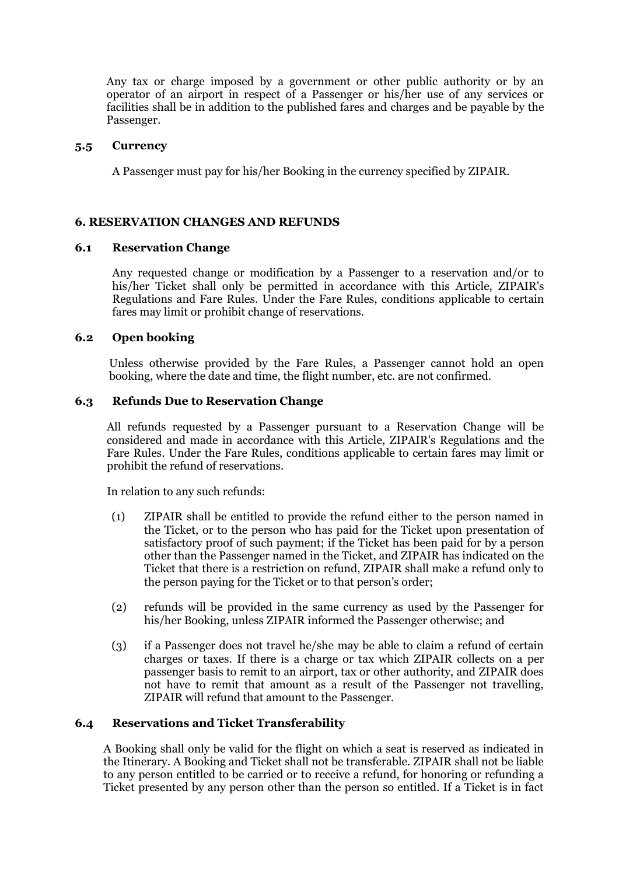Any tax or charge imposed by a government or other public authority or by an operator of an airport in respect of a Passenger or his/her use of any services or facilities shall be in addition to the published fares and charges and be payable by the Passenger.

#### **5.5 Currency**

A Passenger must pay for his/her Booking in the currency specified by ZIPAIR.

### **6. RESERVATION CHANGES AND REFUNDS**

#### **6.1 Reservation Change**

Any requested change or modification by a Passenger to a reservation and/or to his/her Ticket shall only be permitted in accordance with this Article, ZIPAIR's Regulations and Fare Rules. Under the Fare Rules, conditions applicable to certain fares may limit or prohibit change of reservations.

### **6.2 Open booking**

Unless otherwise provided by the Fare Rules, a Passenger cannot hold an open booking, where the date and time, the flight number, etc. are not confirmed.

### **6.3 Refunds Due to Reservation Change**

All refunds requested by a Passenger pursuant to a Reservation Change will be considered and made in accordance with this Article, ZIPAIR's Regulations and the Fare Rules. Under the Fare Rules, conditions applicable to certain fares may limit or prohibit the refund of reservations.

In relation to any such refunds:

- (1) ZIPAIR shall be entitled to provide the refund either to the person named in the Ticket, or to the person who has paid for the Ticket upon presentation of satisfactory proof of such payment; if the Ticket has been paid for by a person other than the Passenger named in the Ticket, and ZIPAIR has indicated on the Ticket that there is a restriction on refund, ZIPAIR shall make a refund only to the person paying for the Ticket or to that person's order;
- (2) refunds will be provided in the same currency as used by the Passenger for his/her Booking, unless ZIPAIR informed the Passenger otherwise; and
- (3) if a Passenger does not travel he/she may be able to claim a refund of certain charges or taxes. If there is a charge or tax which ZIPAIR collects on a per passenger basis to remit to an airport, tax or other authority, and ZIPAIR does not have to remit that amount as a result of the Passenger not travelling, ZIPAIR will refund that amount to the Passenger.

#### **6.4 Reservations and Ticket Transferability**

 A Booking shall only be valid for the flight on which a seat is reserved as indicated in the Itinerary. A Booking and Ticket shall not be transferable. ZIPAIR shall not be liable to any person entitled to be carried or to receive a refund, for honoring or refunding a Ticket presented by any person other than the person so entitled. If a Ticket is in fact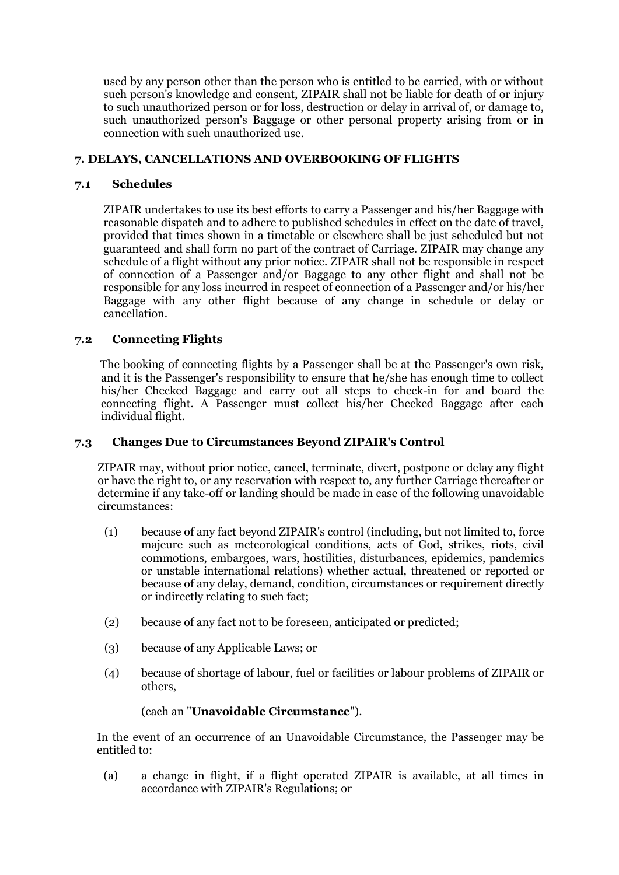used by any person other than the person who is entitled to be carried, with or without such person's knowledge and consent, ZIPAIR shall not be liable for death of or injury to such unauthorized person or for loss, destruction or delay in arrival of, or damage to, such unauthorized person's Baggage or other personal property arising from or in connection with such unauthorized use.

# **7. DELAYS, CANCELLATIONS AND OVERBOOKING OF FLIGHTS**

# **7.1 Schedules**

ZIPAIR undertakes to use its best efforts to carry a Passenger and his/her Baggage with reasonable dispatch and to adhere to published schedules in effect on the date of travel, provided that times shown in a timetable or elsewhere shall be just scheduled but not guaranteed and shall form no part of the contract of Carriage. ZIPAIR may change any schedule of a flight without any prior notice. ZIPAIR shall not be responsible in respect of connection of a Passenger and/or Baggage to any other flight and shall not be responsible for any loss incurred in respect of connection of a Passenger and/or his/her Baggage with any other flight because of any change in schedule or delay or cancellation.

# **7.2 Connecting Flights**

The booking of connecting flights by a Passenger shall be at the Passenger's own risk, and it is the Passenger's responsibility to ensure that he/she has enough time to collect his/her Checked Baggage and carry out all steps to check-in for and board the connecting flight. A Passenger must collect his/her Checked Baggage after each individual flight.

### **7.3 Changes Due to Circumstances Beyond ZIPAIR's Control**

ZIPAIR may, without prior notice, cancel, terminate, divert, postpone or delay any flight or have the right to, or any reservation with respect to, any further Carriage thereafter or determine if any take-off or landing should be made in case of the following unavoidable circumstances:

- (1) because of any fact beyond ZIPAIR's control (including, but not limited to, force majeure such as meteorological conditions, acts of God, strikes, riots, civil commotions, embargoes, wars, hostilities, disturbances, epidemics, pandemics or unstable international relations) whether actual, threatened or reported or because of any delay, demand, condition, circumstances or requirement directly or indirectly relating to such fact;
- (2) because of any fact not to be foreseen, anticipated or predicted;
- (3) because of any Applicable Laws; or
- (4) because of shortage of labour, fuel or facilities or labour problems of ZIPAIR or others,

#### (each an "**Unavoidable Circumstance**").

In the event of an occurrence of an Unavoidable Circumstance, the Passenger may be entitled to:

(a) a change in flight, if a flight operated ZIPAIR is available, at all times in accordance with ZIPAIR's Regulations; or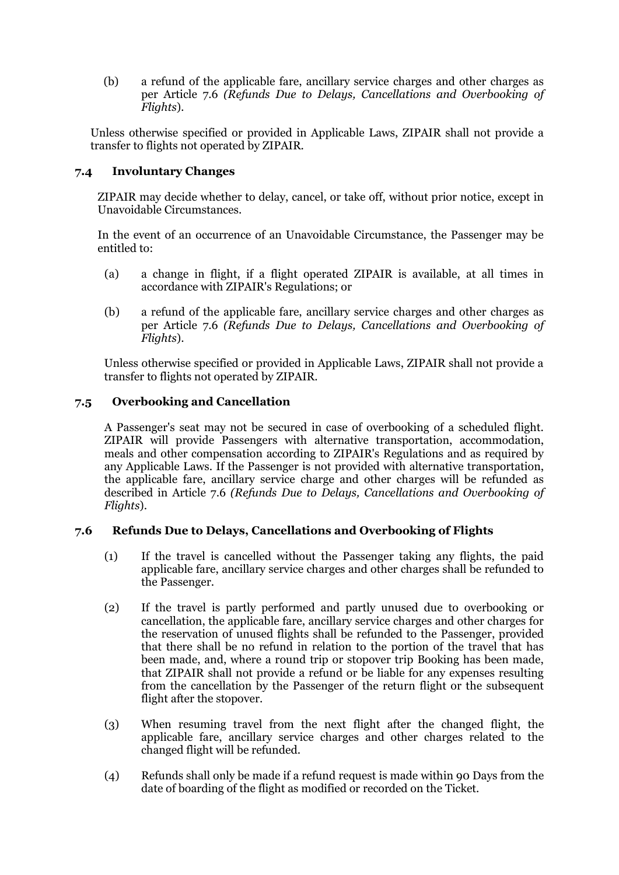(b) a refund of the applicable fare, ancillary service charges and other charges as per Article 7.6 *(Refunds Due to Delays, Cancellations and Overbooking of Flights*)*.*

Unless otherwise specified or provided in Applicable Laws, ZIPAIR shall not provide a transfer to flights not operated by ZIPAIR.

# **7.4 Involuntary Changes**

ZIPAIR may decide whether to delay, cancel, or take off, without prior notice, except in Unavoidable Circumstances.

In the event of an occurrence of an Unavoidable Circumstance, the Passenger may be entitled to:

- (a) a change in flight, if a flight operated ZIPAIR is available, at all times in accordance with ZIPAIR's Regulations; or
- (b) a refund of the applicable fare, ancillary service charges and other charges as per Article 7.6 *(Refunds Due to Delays, Cancellations and Overbooking of Flights*).

Unless otherwise specified or provided in Applicable Laws, ZIPAIR shall not provide a transfer to flights not operated by ZIPAIR.

# **7.5 Overbooking and Cancellation**

A Passenger's seat may not be secured in case of overbooking of a scheduled flight. ZIPAIR will provide Passengers with alternative transportation, accommodation, meals and other compensation according to ZIPAIR's Regulations and as required by any Applicable Laws. If the Passenger is not provided with alternative transportation, the applicable fare, ancillary service charge and other charges will be refunded as described in Article 7.6 *(Refunds Due to Delays, Cancellations and Overbooking of Flights*).

# **7.6 Refunds Due to Delays, Cancellations and Overbooking of Flights**

- (1) If the travel is cancelled without the Passenger taking any flights, the paid applicable fare, ancillary service charges and other charges shall be refunded to the Passenger.
- (2) If the travel is partly performed and partly unused due to overbooking or cancellation, the applicable fare, ancillary service charges and other charges for the reservation of unused flights shall be refunded to the Passenger, provided that there shall be no refund in relation to the portion of the travel that has been made, and, where a round trip or stopover trip Booking has been made, that ZIPAIR shall not provide a refund or be liable for any expenses resulting from the cancellation by the Passenger of the return flight or the subsequent flight after the stopover.
- (3) When resuming travel from the next flight after the changed flight, the applicable fare, ancillary service charges and other charges related to the changed flight will be refunded.
- (4) Refunds shall only be made if a refund request is made within 90 Days from the date of boarding of the flight as modified or recorded on the Ticket.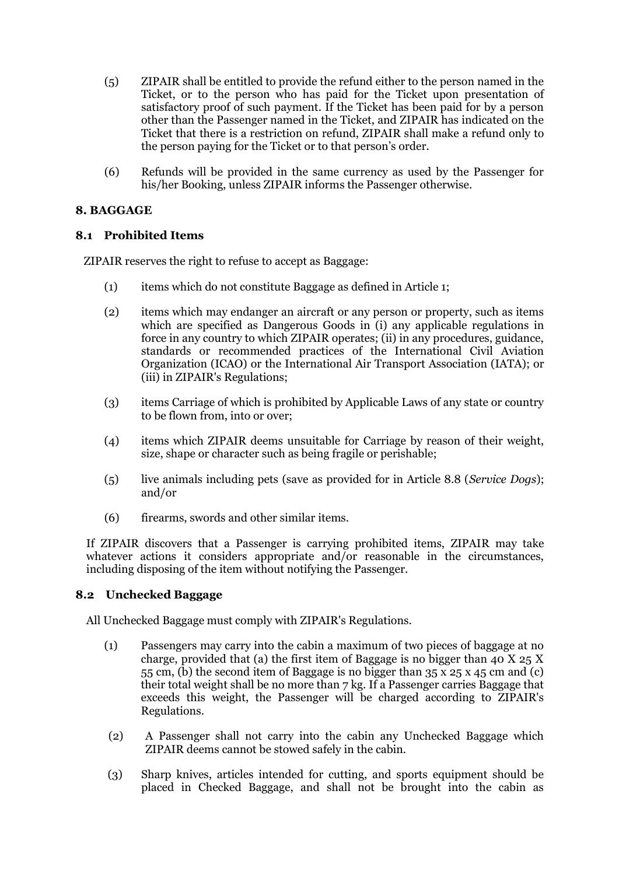- (5) ZIPAIR shall be entitled to provide the refund either to the person named in the Ticket, or to the person who has paid for the Ticket upon presentation of satisfactory proof of such payment. If the Ticket has been paid for by a person other than the Passenger named in the Ticket, and ZIPAIR has indicated on the Ticket that there is a restriction on refund, ZIPAIR shall make a refund only to the person paying for the Ticket or to that person's order.
- (6) Refunds will be provided in the same currency as used by the Passenger for his/her Booking, unless ZIPAIR informs the Passenger otherwise.

# **8. BAGGAGE**

# **8.1 Prohibited Items**

ZIPAIR reserves the right to refuse to accept as Baggage:

- (1) items which do not constitute Baggage as defined in Article 1;
- (2) items which may endanger an aircraft or any person or property, such as items which are specified as Dangerous Goods in (i) any applicable regulations in force in any country to which ZIPAIR operates; (ii) in any procedures, guidance, standards or recommended practices of the International Civil Aviation Organization (ICAO) or the International Air Transport Association (IATA); or (iii) in ZIPAIR's Regulations;
- (3) items Carriage of which is prohibited by Applicable Laws of any state or country to be flown from, into or over;
- (4) items which ZIPAIR deems unsuitable for Carriage by reason of their weight, size, shape or character such as being fragile or perishable;
- (5) live animals including pets (save as provided for in Article 8.8 (*Service Dogs*); and/or
- (6) firearms, swords and other similar items.

If ZIPAIR discovers that a Passenger is carrying prohibited items, ZIPAIR may take whatever actions it considers appropriate and/or reasonable in the circumstances, including disposing of the item without notifying the Passenger.

# **8.2 Unchecked Baggage**

All Unchecked Baggage must comply with ZIPAIR's Regulations.

- (1) Passengers may carry into the cabin a maximum of two pieces of baggage at no charge, provided that (a) the first item of Baggage is no bigger than 40 X 25 X 55 cm, (b) the second item of Baggage is no bigger than 35 x 25 x 45 cm and (c) their total weight shall be no more than 7 kg. If a Passenger carries Baggage that exceeds this weight, the Passenger will be charged according to ZIPAIR's Regulations.
- (2) A Passenger shall not carry into the cabin any Unchecked Baggage which ZIPAIR deems cannot be stowed safely in the cabin.
- (3) Sharp knives, articles intended for cutting, and sports equipment should be placed in Checked Baggage, and shall not be brought into the cabin as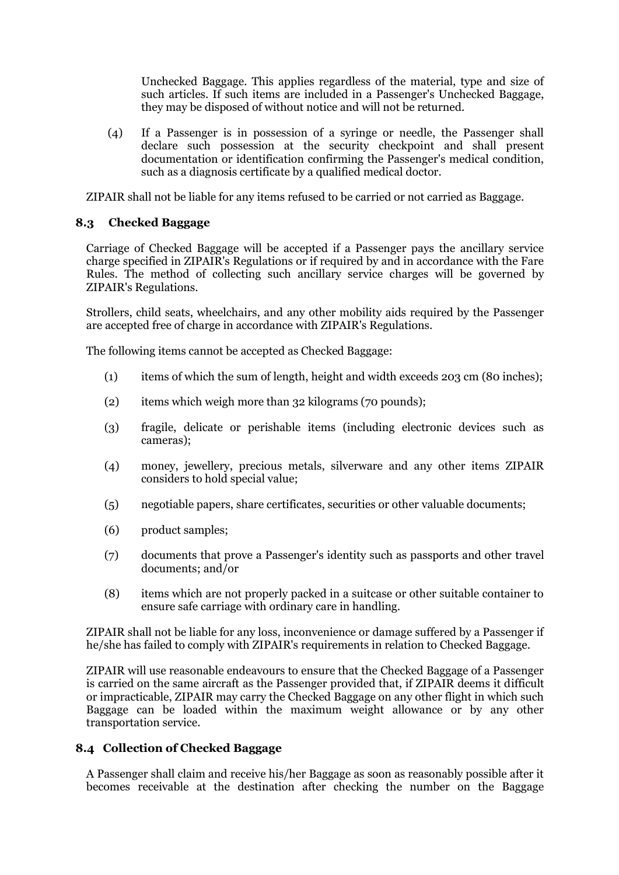Unchecked Baggage. This applies regardless of the material, type and size of such articles. If such items are included in a Passenger's Unchecked Baggage, they may be disposed of without notice and will not be returned.

(4) If a Passenger is in possession of a syringe or needle, the Passenger shall declare such possession at the security checkpoint and shall present documentation or identification confirming the Passenger's medical condition, such as a diagnosis certificate by a qualified medical doctor.

ZIPAIR shall not be liable for any items refused to be carried or not carried as Baggage.

# **8.3 Checked Baggage**

Carriage of Checked Baggage will be accepted if a Passenger pays the ancillary service charge specified in ZIPAIR's Regulations or if required by and in accordance with the Fare Rules. The method of collecting such ancillary service charges will be governed by ZIPAIR's Regulations.

Strollers, child seats, wheelchairs, and any other mobility aids required by the Passenger are accepted free of charge in accordance with ZIPAIR's Regulations.

The following items cannot be accepted as Checked Baggage:

- (1) items of which the sum of length, height and width exceeds 203 cm (80 inches);
- (2) items which weigh more than 32 kilograms (70 pounds);
- (3) fragile, delicate or perishable items (including electronic devices such as cameras);
- (4) money, jewellery, precious metals, silverware and any other items ZIPAIR considers to hold special value;
- (5) negotiable papers, share certificates, securities or other valuable documents;
- (6) product samples;
- (7) documents that prove a Passenger's identity such as passports and other travel documents; and/or
- (8) items which are not properly packed in a suitcase or other suitable container to ensure safe carriage with ordinary care in handling.

ZIPAIR shall not be liable for any loss, inconvenience or damage suffered by a Passenger if he/she has failed to comply with ZIPAIR's requirements in relation to Checked Baggage.

ZIPAIR will use reasonable endeavours to ensure that the Checked Baggage of a Passenger is carried on the same aircraft as the Passenger provided that, if ZIPAIR deems it difficult or impracticable, ZIPAIR may carry the Checked Baggage on any other flight in which such Baggage can be loaded within the maximum weight allowance or by any other transportation service.

# **8.4 Collection of Checked Baggage**

A Passenger shall claim and receive his/her Baggage as soon as reasonably possible after it becomes receivable at the destination after checking the number on the Baggage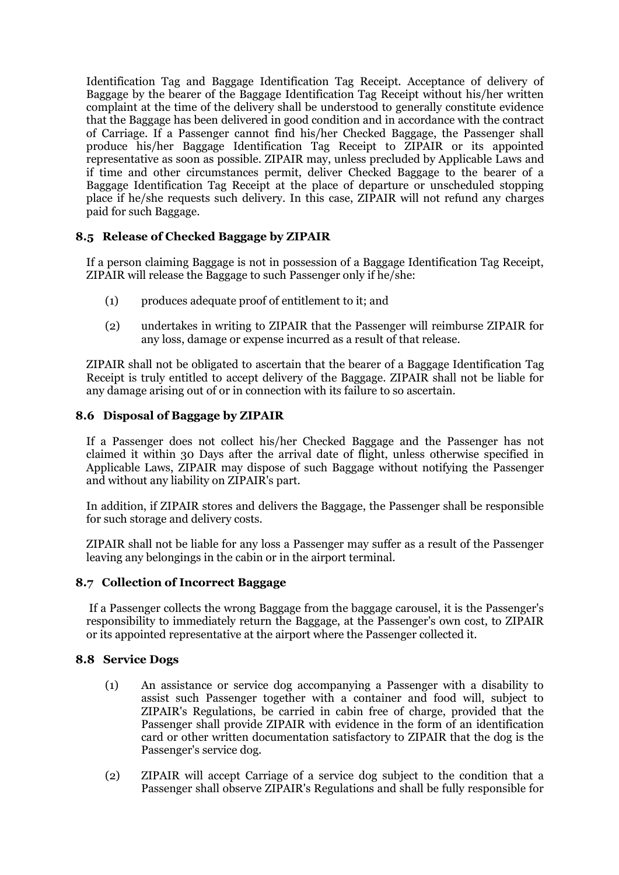Identification Tag and Baggage Identification Tag Receipt. Acceptance of delivery of Baggage by the bearer of the Baggage Identification Tag Receipt without his/her written complaint at the time of the delivery shall be understood to generally constitute evidence that the Baggage has been delivered in good condition and in accordance with the contract of Carriage. If a Passenger cannot find his/her Checked Baggage, the Passenger shall produce his/her Baggage Identification Tag Receipt to ZIPAIR or its appointed representative as soon as possible. ZIPAIR may, unless precluded by Applicable Laws and if time and other circumstances permit, deliver Checked Baggage to the bearer of a Baggage Identification Tag Receipt at the place of departure or unscheduled stopping place if he/she requests such delivery. In this case, ZIPAIR will not refund any charges paid for such Baggage.

# **8.5 Release of Checked Baggage by ZIPAIR**

If a person claiming Baggage is not in possession of a Baggage Identification Tag Receipt, ZIPAIR will release the Baggage to such Passenger only if he/she:

- (1) produces adequate proof of entitlement to it; and
- (2) undertakes in writing to ZIPAIR that the Passenger will reimburse ZIPAIR for any loss, damage or expense incurred as a result of that release.

ZIPAIR shall not be obligated to ascertain that the bearer of a Baggage Identification Tag Receipt is truly entitled to accept delivery of the Baggage. ZIPAIR shall not be liable for any damage arising out of or in connection with its failure to so ascertain.

# **8.6 Disposal of Baggage by ZIPAIR**

If a Passenger does not collect his/her Checked Baggage and the Passenger has not claimed it within 30 Days after the arrival date of flight, unless otherwise specified in Applicable Laws, ZIPAIR may dispose of such Baggage without notifying the Passenger and without any liability on ZIPAIR's part.

In addition, if ZIPAIR stores and delivers the Baggage, the Passenger shall be responsible for such storage and delivery costs.

ZIPAIR shall not be liable for any loss a Passenger may suffer as a result of the Passenger leaving any belongings in the cabin or in the airport terminal.

# **8.7 Collection of Incorrect Baggage**

If a Passenger collects the wrong Baggage from the baggage carousel, it is the Passenger's responsibility to immediately return the Baggage, at the Passenger's own cost, to ZIPAIR or its appointed representative at the airport where the Passenger collected it.

# **8.8 Service Dogs**

- (1) An assistance or service dog accompanying a Passenger with a disability to assist such Passenger together with a container and food will, subject to ZIPAIR's Regulations, be carried in cabin free of charge, provided that the Passenger shall provide ZIPAIR with evidence in the form of an identification card or other written documentation satisfactory to ZIPAIR that the dog is the Passenger's service dog.
- (2) ZIPAIR will accept Carriage of a service dog subject to the condition that a Passenger shall observe ZIPAIR's Regulations and shall be fully responsible for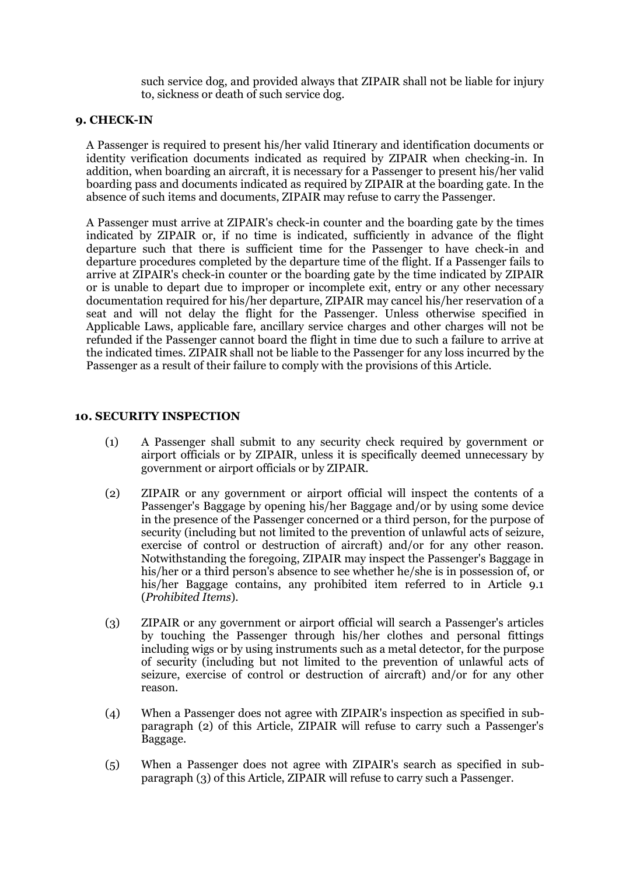such service dog, and provided always that ZIPAIR shall not be liable for injury to, sickness or death of such service dog.

#### **9. CHECK-IN**

A Passenger is required to present his/her valid Itinerary and identification documents or identity verification documents indicated as required by ZIPAIR when checking-in. In addition, when boarding an aircraft, it is necessary for a Passenger to present his/her valid boarding pass and documents indicated as required by ZIPAIR at the boarding gate. In the absence of such items and documents, ZIPAIR may refuse to carry the Passenger.

A Passenger must arrive at ZIPAIR's check-in counter and the boarding gate by the times indicated by ZIPAIR or, if no time is indicated, sufficiently in advance of the flight departure such that there is sufficient time for the Passenger to have check-in and departure procedures completed by the departure time of the flight. If a Passenger fails to arrive at ZIPAIR's check-in counter or the boarding gate by the time indicated by ZIPAIR or is unable to depart due to improper or incomplete exit, entry or any other necessary documentation required for his/her departure, ZIPAIR may cancel his/her reservation of a seat and will not delay the flight for the Passenger. Unless otherwise specified in Applicable Laws, applicable fare, ancillary service charges and other charges will not be refunded if the Passenger cannot board the flight in time due to such a failure to arrive at the indicated times. ZIPAIR shall not be liable to the Passenger for any loss incurred by the Passenger as a result of their failure to comply with the provisions of this Article.

### **10. SECURITY INSPECTION**

- (1) A Passenger shall submit to any security check required by government or airport officials or by ZIPAIR, unless it is specifically deemed unnecessary by government or airport officials or by ZIPAIR.
- (2) ZIPAIR or any government or airport official will inspect the contents of a Passenger's Baggage by opening his/her Baggage and/or by using some device in the presence of the Passenger concerned or a third person, for the purpose of security (including but not limited to the prevention of unlawful acts of seizure, exercise of control or destruction of aircraft) and/or for any other reason. Notwithstanding the foregoing, ZIPAIR may inspect the Passenger's Baggage in his/her or a third person's absence to see whether he/she is in possession of, or his/her Baggage contains, any prohibited item referred to in Article 9.1 (*Prohibited Items*).
- (3) ZIPAIR or any government or airport official will search a Passenger's articles by touching the Passenger through his/her clothes and personal fittings including wigs or by using instruments such as a metal detector, for the purpose of security (including but not limited to the prevention of unlawful acts of seizure, exercise of control or destruction of aircraft) and/or for any other reason.
- (4) When a Passenger does not agree with ZIPAIR's inspection as specified in subparagraph (2) of this Article, ZIPAIR will refuse to carry such a Passenger's Baggage.
- (5) When a Passenger does not agree with ZIPAIR's search as specified in subparagraph (3) of this Article, ZIPAIR will refuse to carry such a Passenger.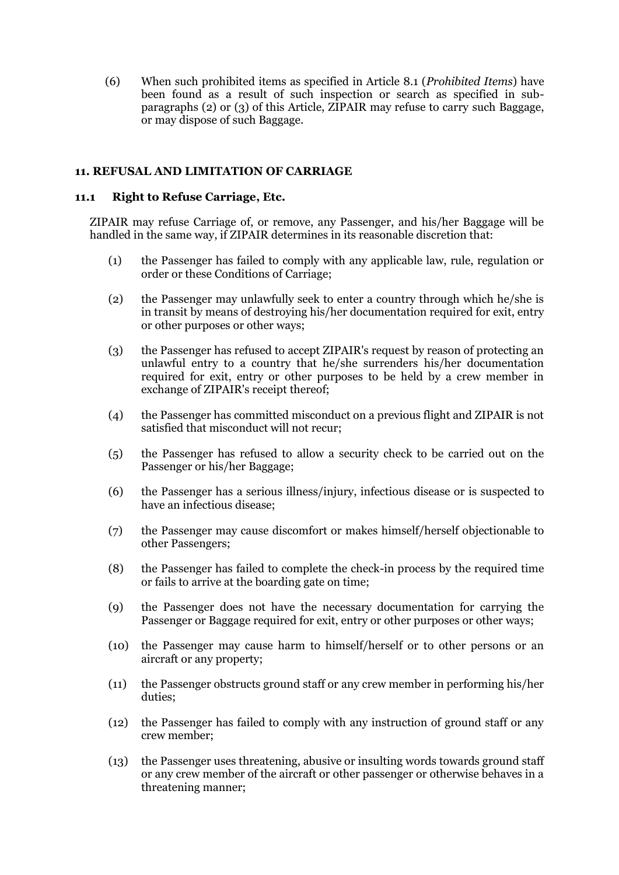(6) When such prohibited items as specified in Article 8.1 (*Prohibited Items*) have been found as a result of such inspection or search as specified in subparagraphs (2) or (3) of this Article, ZIPAIR may refuse to carry such Baggage, or may dispose of such Baggage.

### **11. REFUSAL AND LIMITATION OF CARRIAGE**

#### **11.1 Right to Refuse Carriage, Etc.**

ZIPAIR may refuse Carriage of, or remove, any Passenger, and his/her Baggage will be handled in the same way, if ZIPAIR determines in its reasonable discretion that:

- (1) the Passenger has failed to comply with any applicable law, rule, regulation or order or these Conditions of Carriage;
- (2) the Passenger may unlawfully seek to enter a country through which he/she is in transit by means of destroying his/her documentation required for exit, entry or other purposes or other ways;
- (3) the Passenger has refused to accept ZIPAIR's request by reason of protecting an unlawful entry to a country that he/she surrenders his/her documentation required for exit, entry or other purposes to be held by a crew member in exchange of ZIPAIR's receipt thereof;
- (4) the Passenger has committed misconduct on a previous flight and ZIPAIR is not satisfied that misconduct will not recur;
- (5) the Passenger has refused to allow a security check to be carried out on the Passenger or his/her Baggage;
- (6) the Passenger has a serious illness/injury, infectious disease or is suspected to have an infectious disease;
- (7) the Passenger may cause discomfort or makes himself/herself objectionable to other Passengers;
- (8) the Passenger has failed to complete the check-in process by the required time or fails to arrive at the boarding gate on time;
- (9) the Passenger does not have the necessary documentation for carrying the Passenger or Baggage required for exit, entry or other purposes or other ways;
- (10) the Passenger may cause harm to himself/herself or to other persons or an aircraft or any property;
- (11) the Passenger obstructs ground staff or any crew member in performing his/her duties;
- (12) the Passenger has failed to comply with any instruction of ground staff or any crew member;
- (13) the Passenger uses threatening, abusive or insulting words towards ground staff or any crew member of the aircraft or other passenger or otherwise behaves in a threatening manner;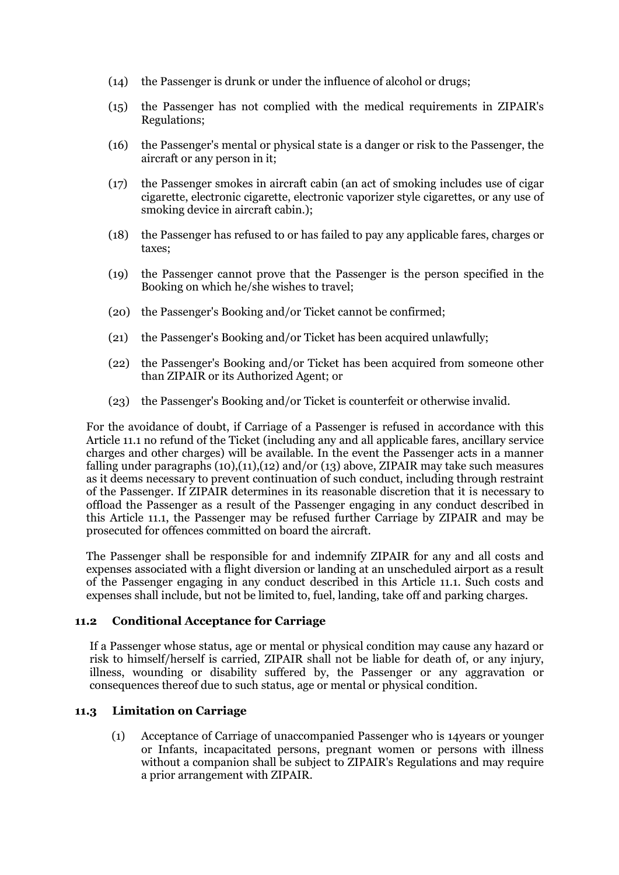- (14) the Passenger is drunk or under the influence of alcohol or drugs;
- (15) the Passenger has not complied with the medical requirements in ZIPAIR's Regulations;
- (16) the Passenger's mental or physical state is a danger or risk to the Passenger, the aircraft or any person in it;
- (17) the Passenger smokes in aircraft cabin (an act of smoking includes use of cigar cigarette, electronic cigarette, electronic vaporizer style cigarettes, or any use of smoking device in aircraft cabin.);
- (18) the Passenger has refused to or has failed to pay any applicable fares, charges or taxes;
- (19) the Passenger cannot prove that the Passenger is the person specified in the Booking on which he/she wishes to travel;
- (20) the Passenger's Booking and/or Ticket cannot be confirmed;
- (21) the Passenger's Booking and/or Ticket has been acquired unlawfully;
- (22) the Passenger's Booking and/or Ticket has been acquired from someone other than ZIPAIR or its Authorized Agent; or
- (23) the Passenger's Booking and/or Ticket is counterfeit or otherwise invalid.

For the avoidance of doubt, if Carriage of a Passenger is refused in accordance with this Article 11.1 no refund of the Ticket (including any and all applicable fares, ancillary service charges and other charges) will be available. In the event the Passenger acts in a manner falling under paragraphs  $(10),(11),(12)$  and/or  $(13)$  above, ZIPAIR may take such measures as it deems necessary to prevent continuation of such conduct, including through restraint of the Passenger. If ZIPAIR determines in its reasonable discretion that it is necessary to offload the Passenger as a result of the Passenger engaging in any conduct described in this Article 11.1, the Passenger may be refused further Carriage by ZIPAIR and may be prosecuted for offences committed on board the aircraft.

The Passenger shall be responsible for and indemnify ZIPAIR for any and all costs and expenses associated with a flight diversion or landing at an unscheduled airport as a result of the Passenger engaging in any conduct described in this Article 11.1. Such costs and expenses shall include, but not be limited to, fuel, landing, take off and parking charges.

#### **11.2 Conditional Acceptance for Carriage**

If a Passenger whose status, age or mental or physical condition may cause any hazard or risk to himself/herself is carried, ZIPAIR shall not be liable for death of, or any injury, illness, wounding or disability suffered by, the Passenger or any aggravation or consequences thereof due to such status, age or mental or physical condition.

# **11.3 Limitation on Carriage**

(1) Acceptance of Carriage of unaccompanied Passenger who is 14years or younger or Infants, incapacitated persons, pregnant women or persons with illness without a companion shall be subject to ZIPAIR's Regulations and may require a prior arrangement with ZIPAIR.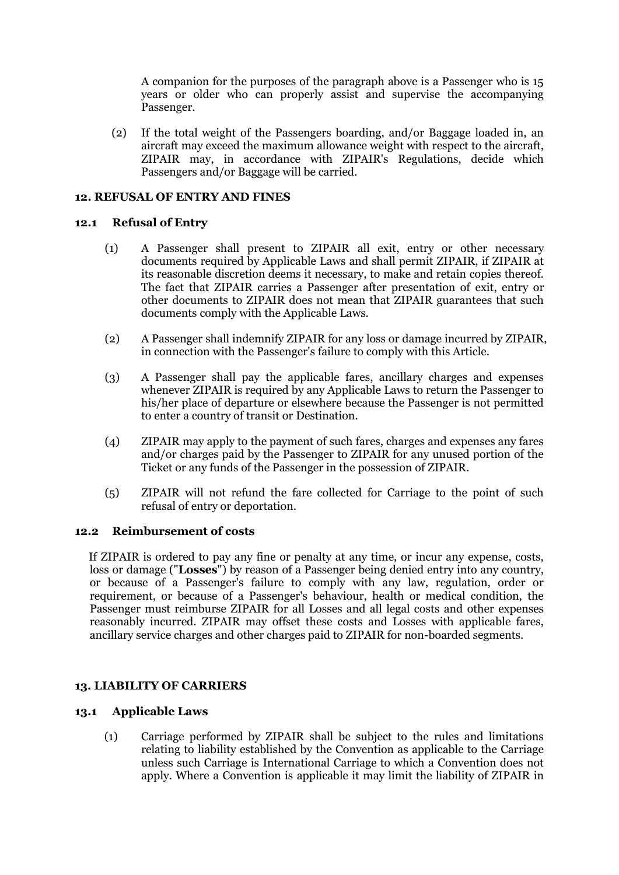A companion for the purposes of the paragraph above is a Passenger who is 15 years or older who can properly assist and supervise the accompanying Passenger.

(2) If the total weight of the Passengers boarding, and/or Baggage loaded in, an aircraft may exceed the maximum allowance weight with respect to the aircraft, ZIPAIR may, in accordance with ZIPAIR's Regulations, decide which Passengers and/or Baggage will be carried.

# **12. REFUSAL OF ENTRY AND FINES**

# **12.1 Refusal of Entry**

- (1) A Passenger shall present to ZIPAIR all exit, entry or other necessary documents required by Applicable Laws and shall permit ZIPAIR, if ZIPAIR at its reasonable discretion deems it necessary, to make and retain copies thereof. The fact that ZIPAIR carries a Passenger after presentation of exit, entry or other documents to ZIPAIR does not mean that ZIPAIR guarantees that such documents comply with the Applicable Laws.
- (2) A Passenger shall indemnify ZIPAIR for any loss or damage incurred by ZIPAIR, in connection with the Passenger's failure to comply with this Article.
- (3) A Passenger shall pay the applicable fares, ancillary charges and expenses whenever ZIPAIR is required by any Applicable Laws to return the Passenger to his/her place of departure or elsewhere because the Passenger is not permitted to enter a country of transit or Destination.
- (4) ZIPAIR may apply to the payment of such fares, charges and expenses any fares and/or charges paid by the Passenger to ZIPAIR for any unused portion of the Ticket or any funds of the Passenger in the possession of ZIPAIR.
- (5) ZIPAIR will not refund the fare collected for Carriage to the point of such refusal of entry or deportation.

#### **12.2 Reimbursement of costs**

If ZIPAIR is ordered to pay any fine or penalty at any time, or incur any expense, costs, loss or damage ("**Losses**") by reason of a Passenger being denied entry into any country, or because of a Passenger's failure to comply with any law, regulation, order or requirement, or because of a Passenger's behaviour, health or medical condition, the Passenger must reimburse ZIPAIR for all Losses and all legal costs and other expenses reasonably incurred. ZIPAIR may offset these costs and Losses with applicable fares, ancillary service charges and other charges paid to ZIPAIR for non-boarded segments.

# **13. LIABILITY OF CARRIERS**

### **13.1 Applicable Laws**

(1) Carriage performed by ZIPAIR shall be subject to the rules and limitations relating to liability established by the Convention as applicable to the Carriage unless such Carriage is International Carriage to which a Convention does not apply. Where a Convention is applicable it may limit the liability of ZIPAIR in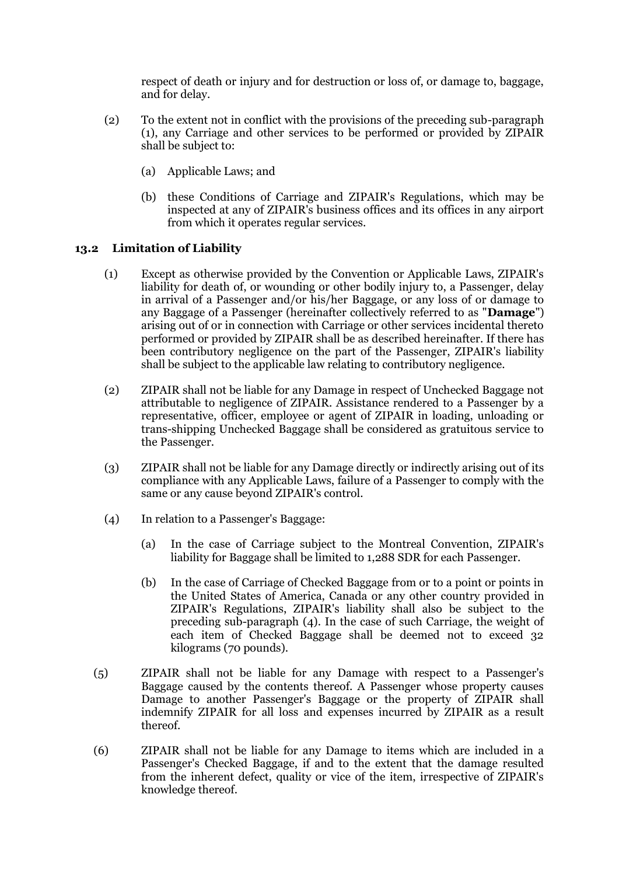respect of death or injury and for destruction or loss of, or damage to, baggage, and for delay.

- (2) To the extent not in conflict with the provisions of the preceding sub-paragraph (1), any Carriage and other services to be performed or provided by ZIPAIR shall be subject to:
	- (a) Applicable Laws; and
	- (b) these Conditions of Carriage and ZIPAIR's Regulations, which may be inspected at any of ZIPAIR's business offices and its offices in any airport from which it operates regular services.

# **13.2 Limitation of Liability**

- (1) Except as otherwise provided by the Convention or Applicable Laws, ZIPAIR's liability for death of, or wounding or other bodily injury to, a Passenger, delay in arrival of a Passenger and/or his/her Baggage, or any loss of or damage to any Baggage of a Passenger (hereinafter collectively referred to as "**Damage**") arising out of or in connection with Carriage or other services incidental thereto performed or provided by ZIPAIR shall be as described hereinafter. If there has been contributory negligence on the part of the Passenger, ZIPAIR's liability shall be subject to the applicable law relating to contributory negligence.
- (2) ZIPAIR shall not be liable for any Damage in respect of Unchecked Baggage not attributable to negligence of ZIPAIR. Assistance rendered to a Passenger by a representative, officer, employee or agent of ZIPAIR in loading, unloading or trans-shipping Unchecked Baggage shall be considered as gratuitous service to the Passenger.
- (3) ZIPAIR shall not be liable for any Damage directly or indirectly arising out of its compliance with any Applicable Laws, failure of a Passenger to comply with the same or any cause beyond ZIPAIR's control.
- (4) In relation to a Passenger's Baggage:
	- (a) In the case of Carriage subject to the Montreal Convention, ZIPAIR's liability for Baggage shall be limited to 1,288 SDR for each Passenger.
	- (b) In the case of Carriage of Checked Baggage from or to a point or points in the United States of America, Canada or any other country provided in ZIPAIR's Regulations, ZIPAIR's liability shall also be subject to the preceding sub-paragraph (4). In the case of such Carriage, the weight of each item of Checked Baggage shall be deemed not to exceed 32 kilograms (70 pounds).
- (5) ZIPAIR shall not be liable for any Damage with respect to a Passenger's Baggage caused by the contents thereof. A Passenger whose property causes Damage to another Passenger's Baggage or the property of ZIPAIR shall indemnify ZIPAIR for all loss and expenses incurred by ZIPAIR as a result thereof.
- (6) ZIPAIR shall not be liable for any Damage to items which are included in a Passenger's Checked Baggage, if and to the extent that the damage resulted from the inherent defect, quality or vice of the item, irrespective of ZIPAIR's knowledge thereof.